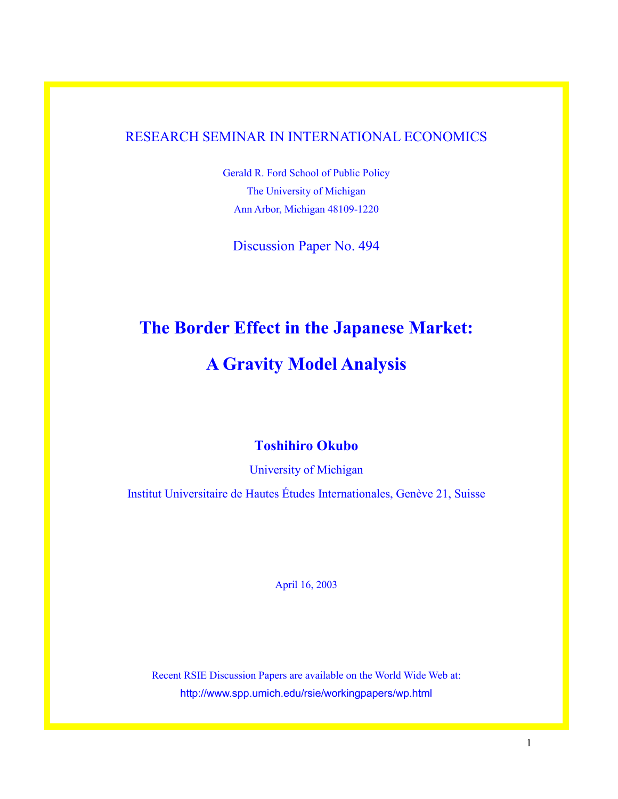### RESEARCH SEMINAR IN INTERNATIONAL ECONOMICS

Gerald R. Ford School of Public Policy The University of Michigan Ann Arbor, Michigan 48109-1220

Discussion Paper No. 494

# **The Border Effect in the Japanese Market:**

# **A Gravity Model Analysis**

## **Toshihiro Okubo**

University of Michigan

Institut Universitaire de Hautes Études Internationales, Genève 21, Suisse

April 16, 2003

Recent RSIE Discussion Papers are available on the World Wide Web at: http://www.spp.umich.edu/rsie/workingpapers/wp.html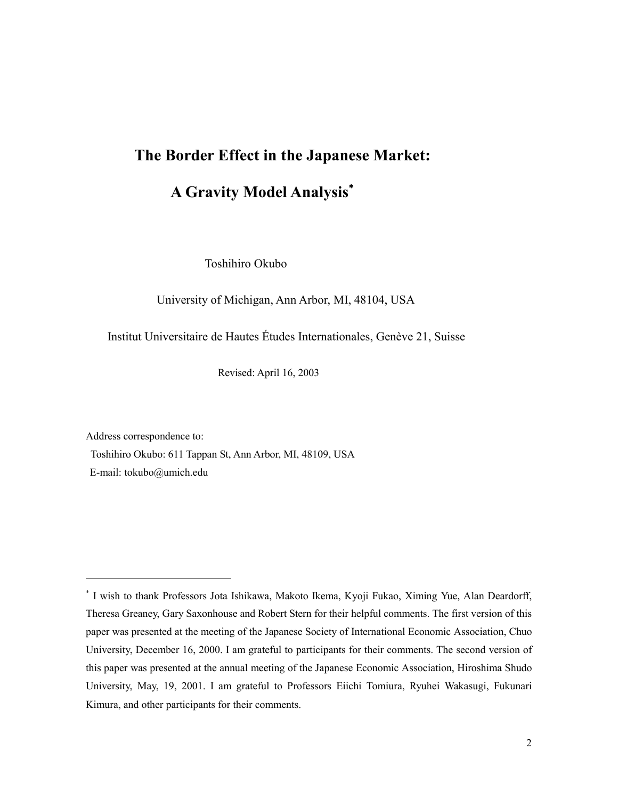# **The Border Effect in the Japanese Market:**

# **A Gravity Model Analysis**

Toshihiro Okubo

University of Michigan, Ann Arbor, MI, 48104, USA

Institut Universitaire de Hautes Études Internationales, Genève 21, Suisse

Revised: April 16, 2003

Address correspondence to:

Toshihiro Okubo: 611 Tappan St, Ann Arbor, MI, 48109, USA

E-mail: tokubo@umich.edu

<u>.</u>

 I wish to thank Professors Jota Ishikawa, Makoto Ikema, Kyoji Fukao, Ximing Yue, Alan Deardorff, Theresa Greaney, Gary Saxonhouse and Robert Stern for their helpful comments. The first version of this paper was presented at the meeting of the Japanese Society of International Economic Association, Chuo University, December 16, 2000. I am grateful to participants for their comments. The second version of this paper was presented at the annual meeting of the Japanese Economic Association, Hiroshima Shudo University, May, 19, 2001. I am grateful to Professors Eiichi Tomiura, Ryuhei Wakasugi, Fukunari Kimura, and other participants for their comments.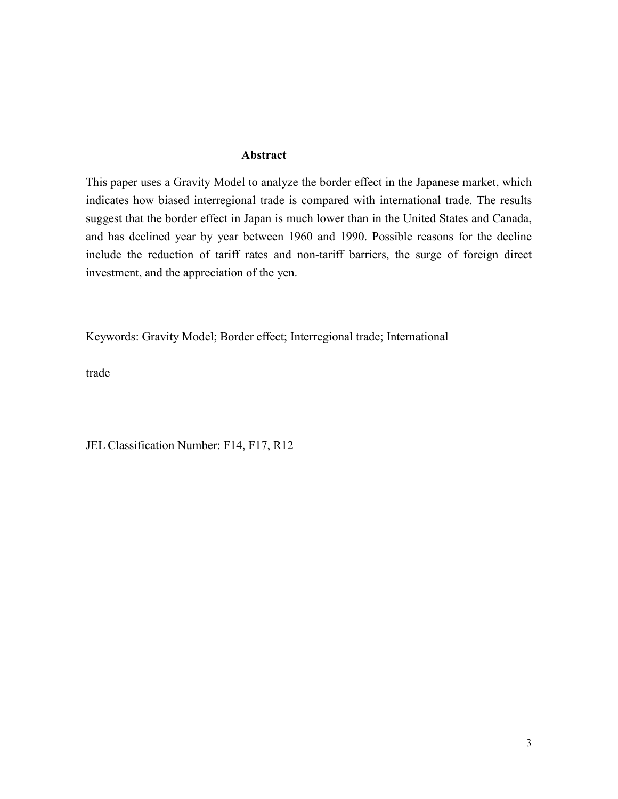#### **Abstract**

This paper uses a Gravity Model to analyze the border effect in the Japanese market, which indicates how biased interregional trade is compared with international trade. The results suggest that the border effect in Japan is much lower than in the United States and Canada, and has declined year by year between 1960 and 1990. Possible reasons for the decline include the reduction of tariff rates and non-tariff barriers, the surge of foreign direct investment, and the appreciation of the yen.

Keywords: Gravity Model; Border effect; Interregional trade; International

trade

JEL Classification Number: F14, F17, R12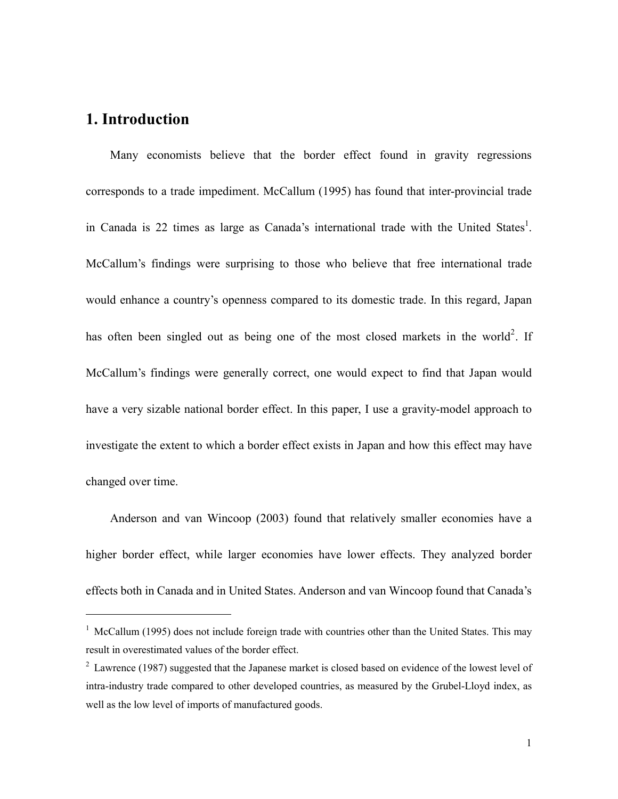## **1. Introduction**

<u>.</u>

Many economists believe that the border effect found in gravity regressions corresponds to a trade impediment. McCallum (1995) has found that inter-provincial trade in Canada is 22 times as large as Canada's international trade with the United States<sup>1</sup>. McCallum's findings were surprising to those who believe that free international trade would enhance a country's openness compared to its domestic trade. In this regard, Japan has often been singled out as being one of the most closed markets in the world<sup>2</sup>. If McCallum's findings were generally correct, one would expect to find that Japan would have a very sizable national border effect. In this paper, I use a gravity-model approach to investigate the extent to which a border effect exists in Japan and how this effect may have changed over time.

Anderson and van Wincoop (2003) found that relatively smaller economies have a higher border effect, while larger economies have lower effects. They analyzed border effects both in Canada and in United States. Anderson and van Wincoop found that Canada's

<sup>&</sup>lt;sup>1</sup> McCallum (1995) does not include foreign trade with countries other than the United States. This may result in overestimated values of the border effect.

 $2$  Lawrence (1987) suggested that the Japanese market is closed based on evidence of the lowest level of intra-industry trade compared to other developed countries, as measured by the Grubel-Lloyd index, as well as the low level of imports of manufactured goods.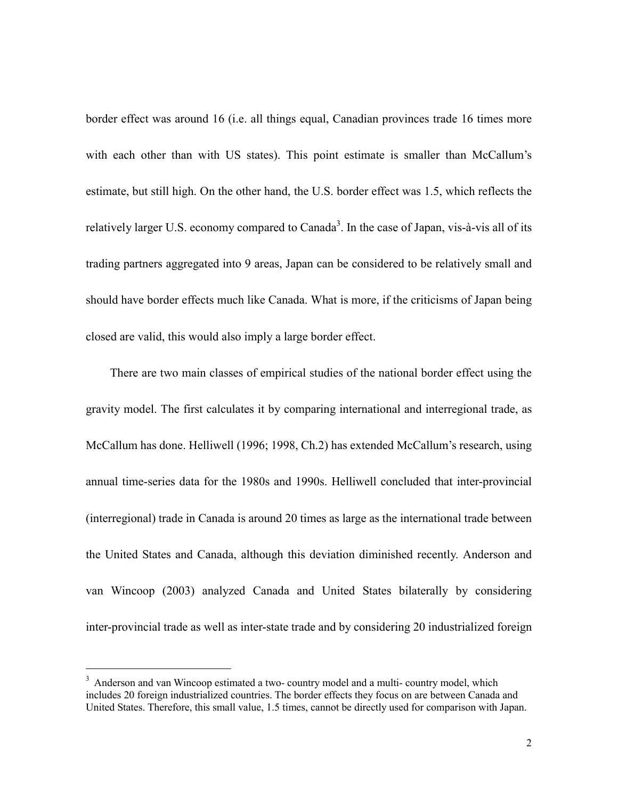border effect was around 16 (i.e. all things equal, Canadian provinces trade 16 times more with each other than with US states). This point estimate is smaller than McCallum's estimate, but still high. On the other hand, the U.S. border effect was 1.5, which reflects the relatively larger U.S. economy compared to Canada<sup>3</sup>. In the case of Japan, vis-à-vis all of its trading partners aggregated into 9 areas, Japan can be considered to be relatively small and should have border effects much like Canada. What is more, if the criticisms of Japan being closed are valid, this would also imply a large border effect.

There are two main classes of empirical studies of the national border effect using the gravity model. The first calculates it by comparing international and interregional trade, as McCallum has done. Helliwell (1996; 1998, Ch.2) has extended McCallum's research, using annual time-series data for the 1980s and 1990s. Helliwell concluded that inter-provincial (interregional) trade in Canada is around 20 times as large as the international trade between the United States and Canada, although this deviation diminished recently. Anderson and van Wincoop (2003) analyzed Canada and United States bilaterally by considering inter-provincial trade as well as inter-state trade and by considering 20 industrialized foreign

-

<sup>&</sup>lt;sup>3</sup> Anderson and van Wincoop estimated a two- country model and a multi- country model, which includes 20 foreign industrialized countries. The border effects they focus on are between Canada and United States. Therefore, this small value, 1.5 times, cannot be directly used for comparison with Japan.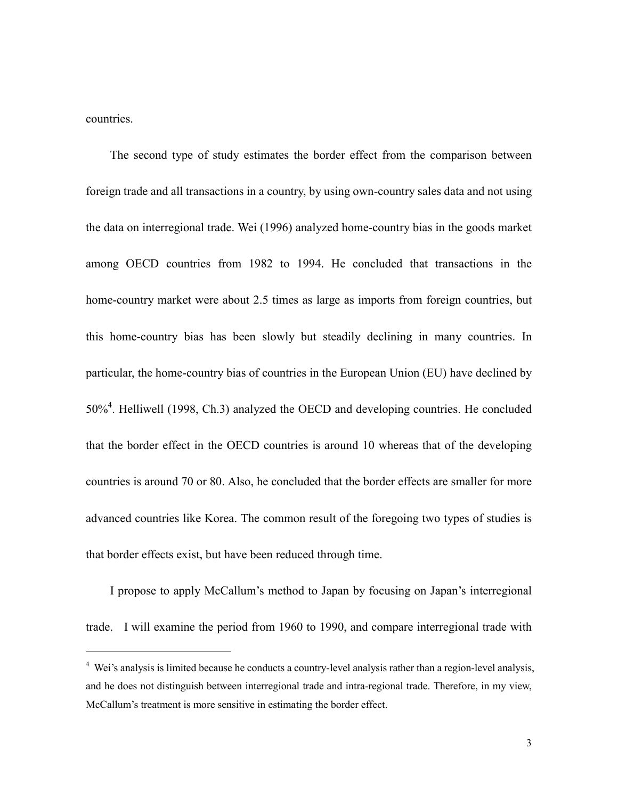countries.

<u>.</u>

The second type of study estimates the border effect from the comparison between foreign trade and all transactions in a country, by using own-country sales data and not using the data on interregional trade. Wei (1996) analyzed home-country bias in the goods market among OECD countries from 1982 to 1994. He concluded that transactions in the home-country market were about 2.5 times as large as imports from foreign countries, but this home-country bias has been slowly but steadily declining in many countries. In particular, the home-country bias of countries in the European Union (EU) have declined by 50%<sup>4</sup>. Helliwell (1998, Ch.3) analyzed the OECD and developing countries. He concluded that the border effect in the OECD countries is around 10 whereas that of the developing countries is around 70 or 80. Also, he concluded that the border effects are smaller for more advanced countries like Korea. The common result of the foregoing two types of studies is that border effects exist, but have been reduced through time.

I propose to apply McCallum's method to Japan by focusing on Japan's interregional trade. I will examine the period from 1960 to 1990, and compare interregional trade with

<sup>&</sup>lt;sup>4</sup> Wei's analysis is limited because he conducts a country-level analysis rather than a region-level analysis, and he does not distinguish between interregional trade and intra-regional trade. Therefore, in my view, McCallum's treatment is more sensitive in estimating the border effect.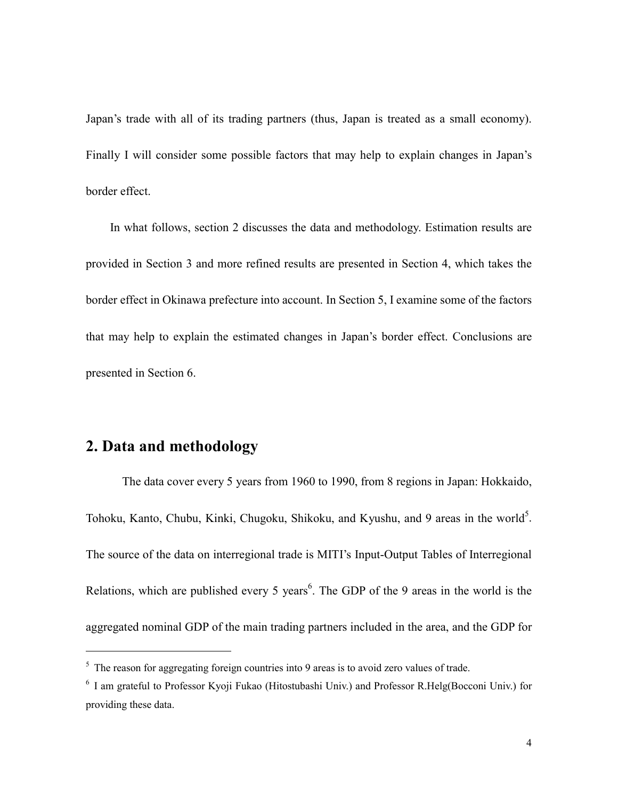Japan's trade with all of its trading partners (thus, Japan is treated as a small economy). Finally I will consider some possible factors that may help to explain changes in Japan's border effect.

In what follows, section 2 discusses the data and methodology. Estimation results are provided in Section 3 and more refined results are presented in Section 4, which takes the border effect in Okinawa prefecture into account. In Section 5, I examine some of the factors that may help to explain the estimated changes in Japan's border effect. Conclusions are presented in Section 6.

## **2. Data and methodology**

<u>.</u>

The data cover every 5 years from 1960 to 1990, from 8 regions in Japan: Hokkaido, Tohoku, Kanto, Chubu, Kinki, Chugoku, Shikoku, and Kyushu, and 9 areas in the world<sup>5</sup>. The source of the data on interregional trade is MITI's Input-Output Tables of Interregional Relations, which are published every 5 years<sup>6</sup>. The GDP of the 9 areas in the world is the aggregated nominal GDP of the main trading partners included in the area, and the GDP for

 $<sup>5</sup>$  The reason for aggregating foreign countries into 9 areas is to avoid zero values of trade.</sup>

<sup>&</sup>lt;sup>6</sup> I am grateful to Professor Kyoji Fukao (Hitostubashi Univ.) and Professor R.Helg(Bocconi Univ.) for providing these data.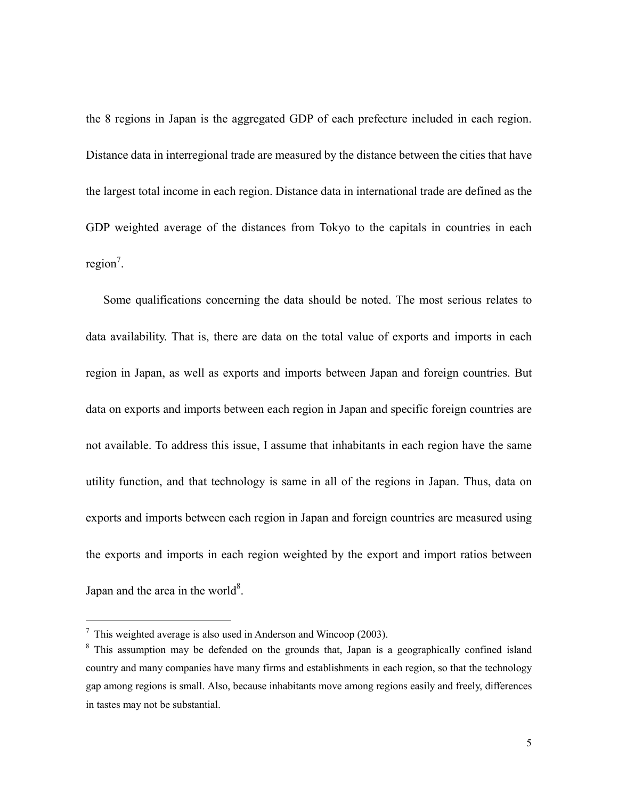the 8 regions in Japan is the aggregated GDP of each prefecture included in each region. Distance data in interregional trade are measured by the distance between the cities that have the largest total income in each region. Distance data in international trade are defined as the GDP weighted average of the distances from Tokyo to the capitals in countries in each  $region<sup>7</sup>$ .

 Some qualifications concerning the data should be noted. The most serious relates to data availability. That is, there are data on the total value of exports and imports in each region in Japan, as well as exports and imports between Japan and foreign countries. But data on exports and imports between each region in Japan and specific foreign countries are not available. To address this issue, I assume that inhabitants in each region have the same utility function, and that technology is same in all of the regions in Japan. Thus, data on exports and imports between each region in Japan and foreign countries are measured using the exports and imports in each region weighted by the export and import ratios between Japan and the area in the world $8$ .

-

 $\frac{7}{1}$  This weighted average is also used in Anderson and Wincoop (2003).

<sup>&</sup>lt;sup>8</sup> This assumption may be defended on the grounds that, Japan is a geographically confined island country and many companies have many firms and establishments in each region, so that the technology gap among regions is small. Also, because inhabitants move among regions easily and freely, differences in tastes may not be substantial.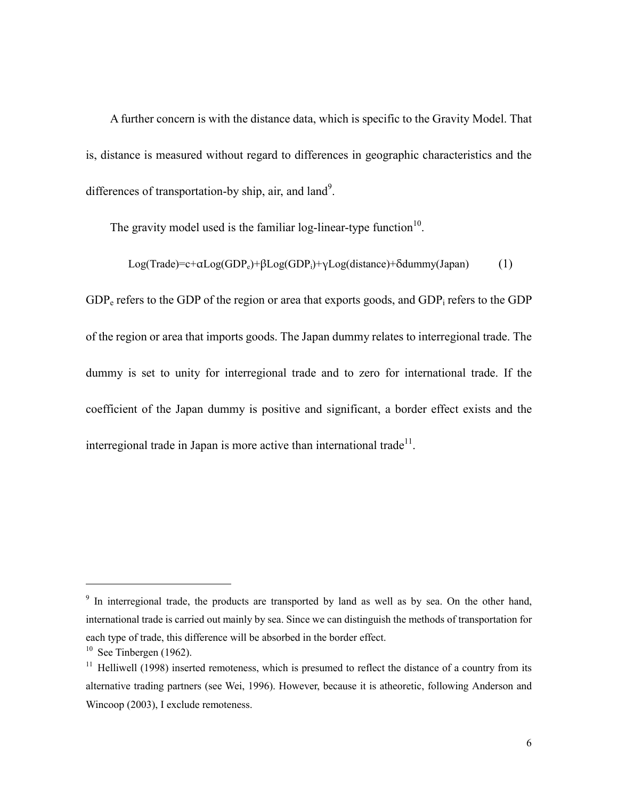A further concern is with the distance data, which is specific to the Gravity Model. That is, distance is measured without regard to differences in geographic characteristics and the differences of transportation-by ship, air, and land<sup>9</sup>.

The gravity model used is the familiar log-linear-type function $10$ .

Log(Trade)=c+ $\alpha$ Log(GDP<sub>e</sub>)+ $\beta$ Log(GDP<sub>i</sub>)+γLog(distance)+ $\delta$ dummy(Japan) (1)

 $GDP<sub>e</sub>$  refers to the GDP of the region or area that exports goods, and  $GDP<sub>i</sub>$  refers to the GDP of the region or area that imports goods. The Japan dummy relates to interregional trade. The dummy is set to unity for interregional trade and to zero for international trade. If the coefficient of the Japan dummy is positive and significant, a border effect exists and the interregional trade in Japan is more active than international trade<sup>11</sup>.

-

<sup>&</sup>lt;sup>9</sup> In interregional trade, the products are transported by land as well as by sea. On the other hand, international trade is carried out mainly by sea. Since we can distinguish the methods of transportation for each type of trade, this difference will be absorbed in the border effect.

 $10$  See Tinbergen (1962).

 $11$  Helliwell (1998) inserted remoteness, which is presumed to reflect the distance of a country from its alternative trading partners (see Wei, 1996). However, because it is atheoretic, following Anderson and Wincoop (2003), I exclude remoteness.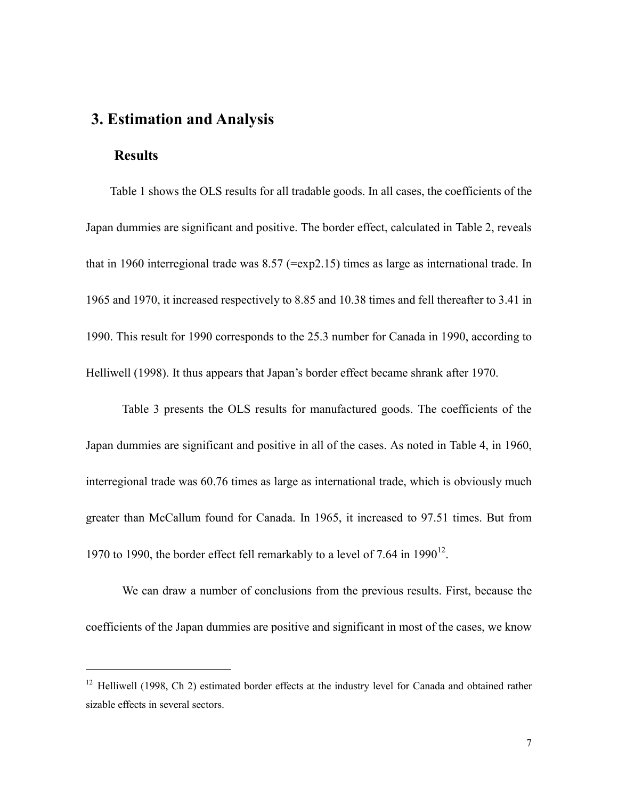## **3. Estimation and Analysis**

#### **Results**

<u>.</u>

Table 1 shows the OLS results for all tradable goods. In all cases, the coefficients of the Japan dummies are significant and positive. The border effect, calculated in Table 2, reveals that in 1960 interregional trade was 8.57 (=exp2.15) times as large as international trade. In 1965 and 1970, it increased respectively to 8.85 and 10.38 times and fell thereafter to 3.41 in 1990. This result for 1990 corresponds to the 25.3 number for Canada in 1990, according to Helliwell (1998). It thus appears that Japan's border effect became shrank after 1970.

Table 3 presents the OLS results for manufactured goods. The coefficients of the Japan dummies are significant and positive in all of the cases. As noted in Table 4, in 1960, interregional trade was 60.76 times as large as international trade, which is obviously much greater than McCallum found for Canada. In 1965, it increased to 97.51 times. But from 1970 to 1990, the border effect fell remarkably to a level of 7.64 in  $1990^{12}$ .

We can draw a number of conclusions from the previous results. First, because the coefficients of the Japan dummies are positive and significant in most of the cases, we know

<sup>&</sup>lt;sup>12</sup> Helliwell (1998, Ch 2) estimated border effects at the industry level for Canada and obtained rather sizable effects in several sectors.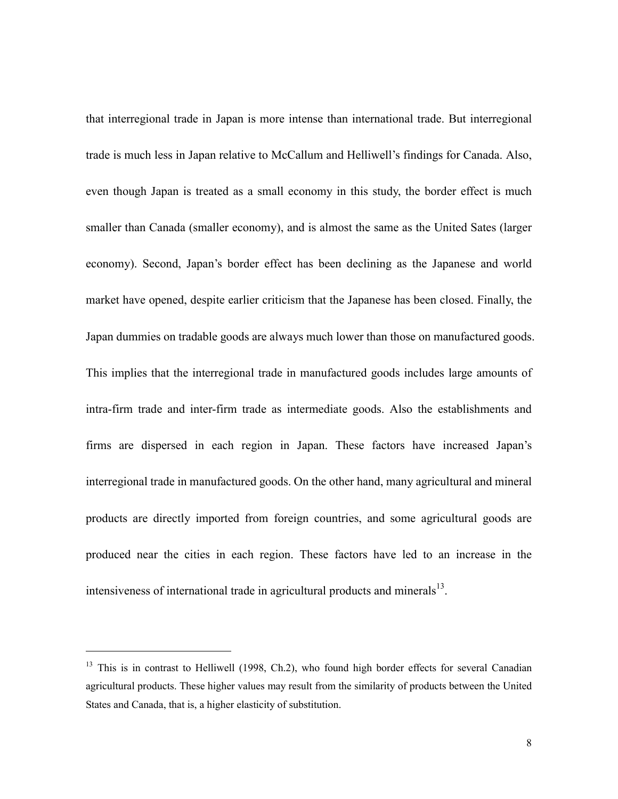that interregional trade in Japan is more intense than international trade. But interregional trade is much less in Japan relative to McCallum and Helliwell's findings for Canada. Also, even though Japan is treated as a small economy in this study, the border effect is much smaller than Canada (smaller economy), and is almost the same as the United Sates (larger economy). Second, Japan's border effect has been declining as the Japanese and world market have opened, despite earlier criticism that the Japanese has been closed. Finally, the Japan dummies on tradable goods are always much lower than those on manufactured goods. This implies that the interregional trade in manufactured goods includes large amounts of intra-firm trade and inter-firm trade as intermediate goods. Also the establishments and firms are dispersed in each region in Japan. These factors have increased Japan's interregional trade in manufactured goods. On the other hand, many agricultural and mineral products are directly imported from foreign countries, and some agricultural goods are produced near the cities in each region. These factors have led to an increase in the intensiveness of international trade in agricultural products and minerals $^{13}$ .

<u>.</u>

<sup>&</sup>lt;sup>13</sup> This is in contrast to Helliwell (1998, Ch.2), who found high border effects for several Canadian agricultural products. These higher values may result from the similarity of products between the United States and Canada, that is, a higher elasticity of substitution.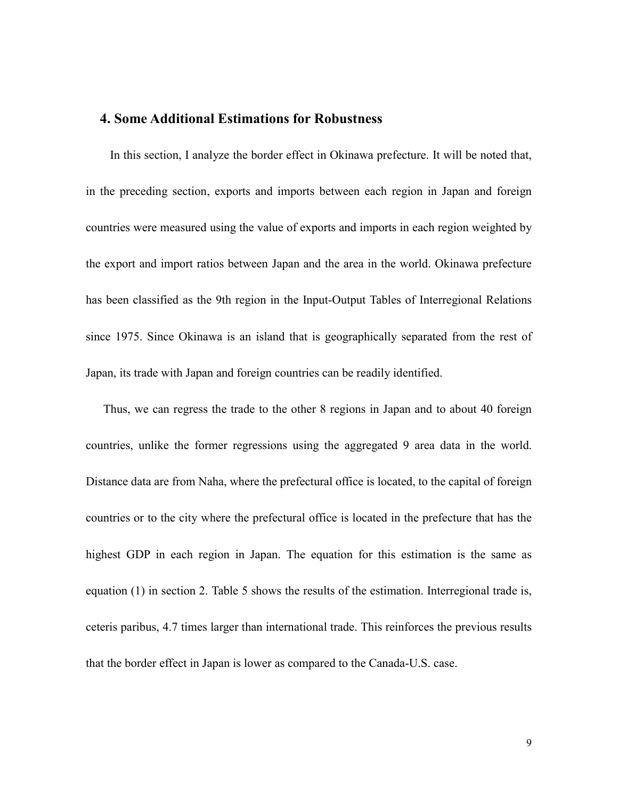#### **4. Some Additional Estimations for Robustness**

In this section, I analyze the border effect in Okinawa prefecture. It will be noted that, in the preceding section, exports and imports between each region in Japan and foreign countries were measured using the value of exports and imports in each region weighted by the export and import ratios between Japan and the area in the world. Okinawa prefecture has been classified as the 9th region in the Input-Output Tables of Interregional Relations since 1975. Since Okinawa is an island that is geographically separated from the rest of Japan, its trade with Japan and foreign countries can be readily identified.

 Thus, we can regress the trade to the other 8 regions in Japan and to about 40 foreign countries, unlike the former regressions using the aggregated 9 area data in the world. Distance data are from Naha, where the prefectural office is located, to the capital of foreign countries or to the city where the prefectural office is located in the prefecture that has the highest GDP in each region in Japan. The equation for this estimation is the same as equation (1) in section 2. Table 5 shows the results of the estimation. Interregional trade is, ceteris paribus, 4.7 times larger than international trade. This reinforces the previous results that the border effect in Japan is lower as compared to the Canada-U.S. case.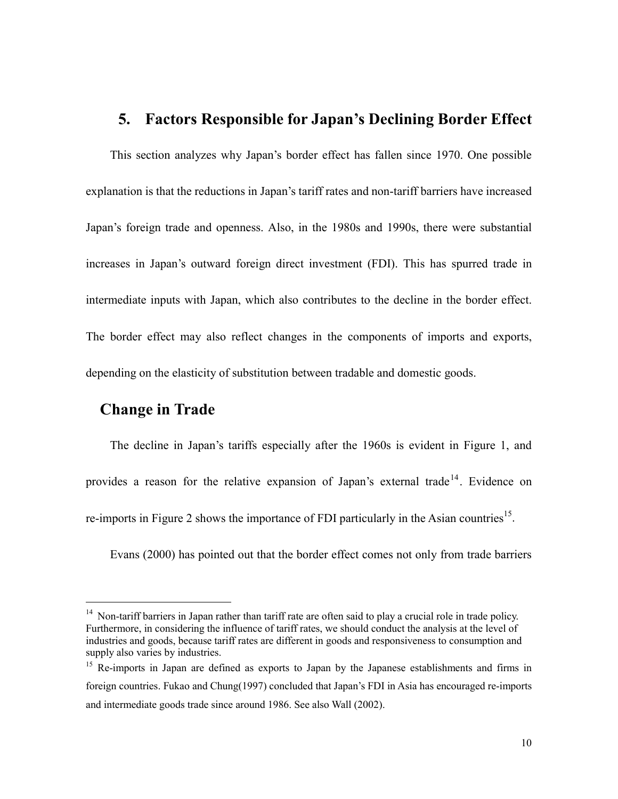# **5. Factors Responsible for Japan's Declining Border Effect**

This section analyzes why Japan's border effect has fallen since 1970. One possible explanation is that the reductions in Japan's tariff rates and non-tariff barriers have increased Japan's foreign trade and openness. Also, in the 1980s and 1990s, there were substantial increases in Japan's outward foreign direct investment (FDI). This has spurred trade in intermediate inputs with Japan, which also contributes to the decline in the border effect. The border effect may also reflect changes in the components of imports and exports, depending on the elasticity of substitution between tradable and domestic goods.

## **Change in Trade**

-

The decline in Japan's tariffs especially after the 1960s is evident in Figure 1, and provides a reason for the relative expansion of Japan's external trade<sup>14</sup>. Evidence on re-imports in Figure 2 shows the importance of FDI particularly in the Asian countries<sup>15</sup>.

Evans (2000) has pointed out that the border effect comes not only from trade barriers

<sup>&</sup>lt;sup>14</sup> Non-tariff barriers in Japan rather than tariff rate are often said to play a crucial role in trade policy. Furthermore, in considering the influence of tariff rates, we should conduct the analysis at the level of industries and goods, because tariff rates are different in goods and responsiveness to consumption and supply also varies by industries.

<sup>&</sup>lt;sup>15</sup> Re-imports in Japan are defined as exports to Japan by the Japanese establishments and firms in foreign countries. Fukao and Chung(1997) concluded that Japan's FDI in Asia has encouraged re-imports and intermediate goods trade since around 1986. See also Wall (2002).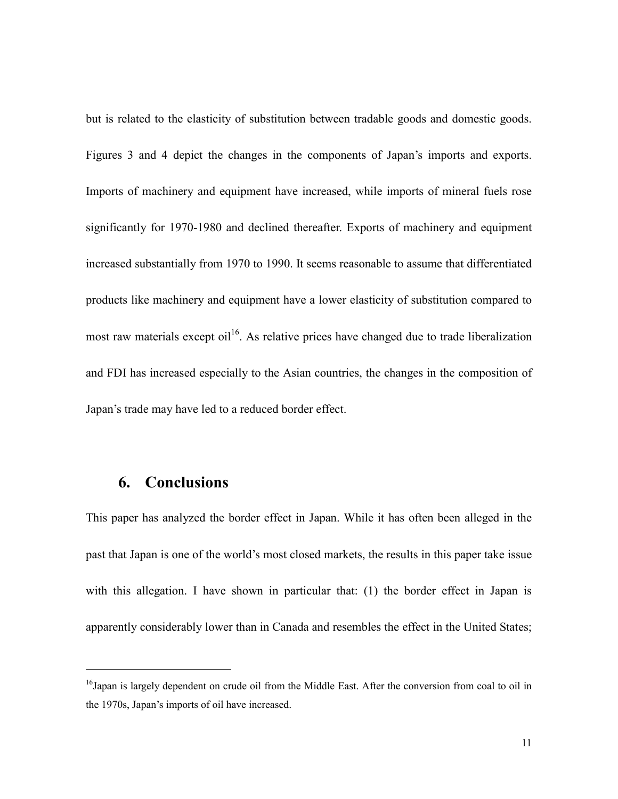but is related to the elasticity of substitution between tradable goods and domestic goods. Figures 3 and 4 depict the changes in the components of Japan's imports and exports. Imports of machinery and equipment have increased, while imports of mineral fuels rose significantly for 1970-1980 and declined thereafter. Exports of machinery and equipment increased substantially from 1970 to 1990. It seems reasonable to assume that differentiated products like machinery and equipment have a lower elasticity of substitution compared to most raw materials except oil<sup>16</sup>. As relative prices have changed due to trade liberalization and FDI has increased especially to the Asian countries, the changes in the composition of Japan's trade may have led to a reduced border effect.

## **6. Conclusions**

<u>.</u>

This paper has analyzed the border effect in Japan. While it has often been alleged in the past that Japan is one of the world's most closed markets, the results in this paper take issue with this allegation. I have shown in particular that: (1) the border effect in Japan is apparently considerably lower than in Canada and resembles the effect in the United States;

<sup>&</sup>lt;sup>16</sup>Japan is largely dependent on crude oil from the Middle East. After the conversion from coal to oil in the 1970s, Japan's imports of oil have increased.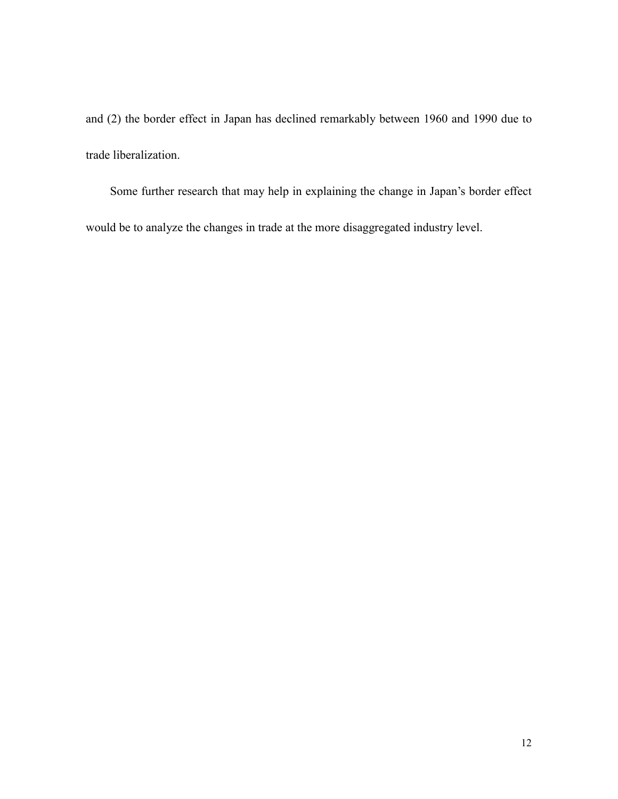and (2) the border effect in Japan has declined remarkably between 1960 and 1990 due to trade liberalization.

Some further research that may help in explaining the change in Japan's border effect would be to analyze the changes in trade at the more disaggregated industry level.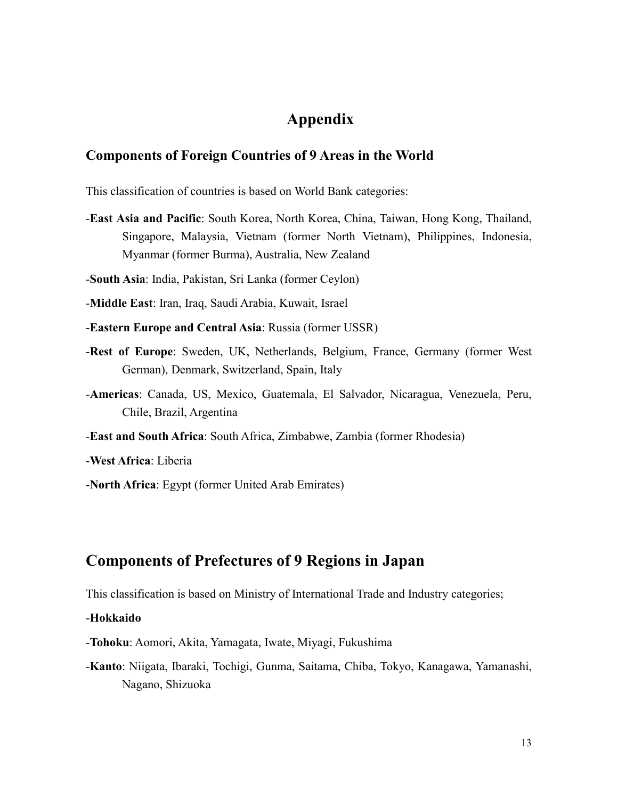## **Appendix**

#### **Components of Foreign Countries of 9 Areas in the World**

This classification of countries is based on World Bank categories:

-**East Asia and Pacific**: South Korea, North Korea, China, Taiwan, Hong Kong, Thailand, Singapore, Malaysia, Vietnam (former North Vietnam), Philippines, Indonesia, Myanmar (former Burma), Australia, New Zealand

-**South Asia**: India, Pakistan, Sri Lanka (former Ceylon)

-**Middle East**: Iran, Iraq, Saudi Arabia, Kuwait, Israel

- -**Eastern Europe and Central Asia**: Russia (former USSR)
- -**Rest of Europe**: Sweden, UK, Netherlands, Belgium, France, Germany (former West German), Denmark, Switzerland, Spain, Italy
- -**Americas**: Canada, US, Mexico, Guatemala, El Salvador, Nicaragua, Venezuela, Peru, Chile, Brazil, Argentina
- -**East and South Africa**: South Africa, Zimbabwe, Zambia (former Rhodesia)

-**West Africa**: Liberia

-**North Africa**: Egypt (former United Arab Emirates)

## **Components of Prefectures of 9 Regions in Japan**

This classification is based on Ministry of International Trade and Industry categories;

-**Hokkaido**

- -**Tohoku**: Aomori, Akita, Yamagata, Iwate, Miyagi, Fukushima
- -**Kanto**: Niigata, Ibaraki, Tochigi, Gunma, Saitama, Chiba, Tokyo, Kanagawa, Yamanashi, Nagano, Shizuoka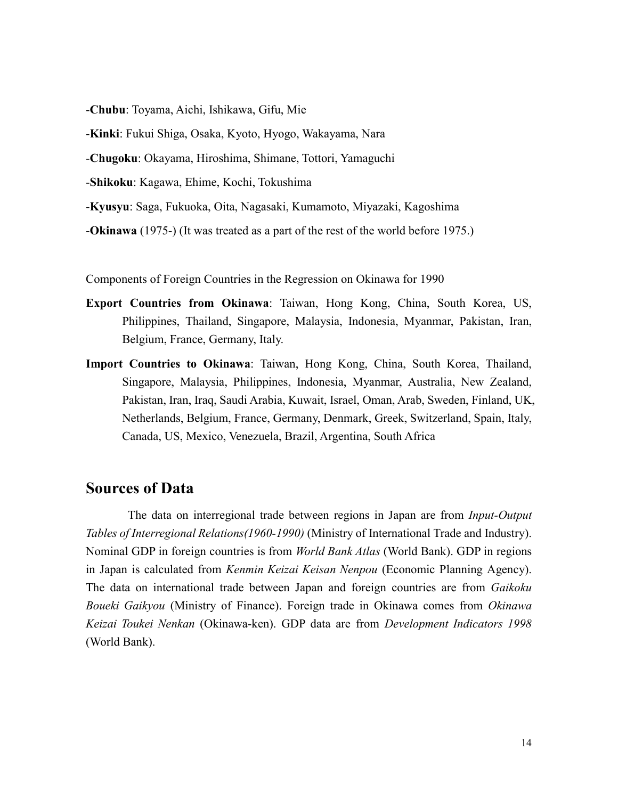-**Chubu**: Toyama, Aichi, Ishikawa, Gifu, Mie

-**Kinki**: Fukui Shiga, Osaka, Kyoto, Hyogo, Wakayama, Nara

-**Chugoku**: Okayama, Hiroshima, Shimane, Tottori, Yamaguchi

-**Shikoku**: Kagawa, Ehime, Kochi, Tokushima

-**Kyusyu**: Saga, Fukuoka, Oita, Nagasaki, Kumamoto, Miyazaki, Kagoshima

-**Okinawa** (1975-) (It was treated as a part of the rest of the world before 1975.)

Components of Foreign Countries in the Regression on Okinawa for 1990

- **Export Countries from Okinawa**: Taiwan, Hong Kong, China, South Korea, US, Philippines, Thailand, Singapore, Malaysia, Indonesia, Myanmar, Pakistan, Iran, Belgium, France, Germany, Italy.
- **Import Countries to Okinawa**: Taiwan, Hong Kong, China, South Korea, Thailand, Singapore, Malaysia, Philippines, Indonesia, Myanmar, Australia, New Zealand, Pakistan, Iran, Iraq, Saudi Arabia, Kuwait, Israel, Oman, Arab, Sweden, Finland, UK, Netherlands, Belgium, France, Germany, Denmark, Greek, Switzerland, Spain, Italy, Canada, US, Mexico, Venezuela, Brazil, Argentina, South Africa

## **Sources of Data**

The data on interregional trade between regions in Japan are from *Input-Output Tables of Interregional Relations(1960-1990)* (Ministry of International Trade and Industry). Nominal GDP in foreign countries is from *World Bank Atlas* (World Bank). GDP in regions in Japan is calculated from *Kenmin Keizai Keisan Nenpou* (Economic Planning Agency). The data on international trade between Japan and foreign countries are from *Gaikoku Boueki Gaikyou* (Ministry of Finance). Foreign trade in Okinawa comes from *Okinawa Keizai Toukei Nenkan* (Okinawa-ken). GDP data are from *Development Indicators 1998* (World Bank).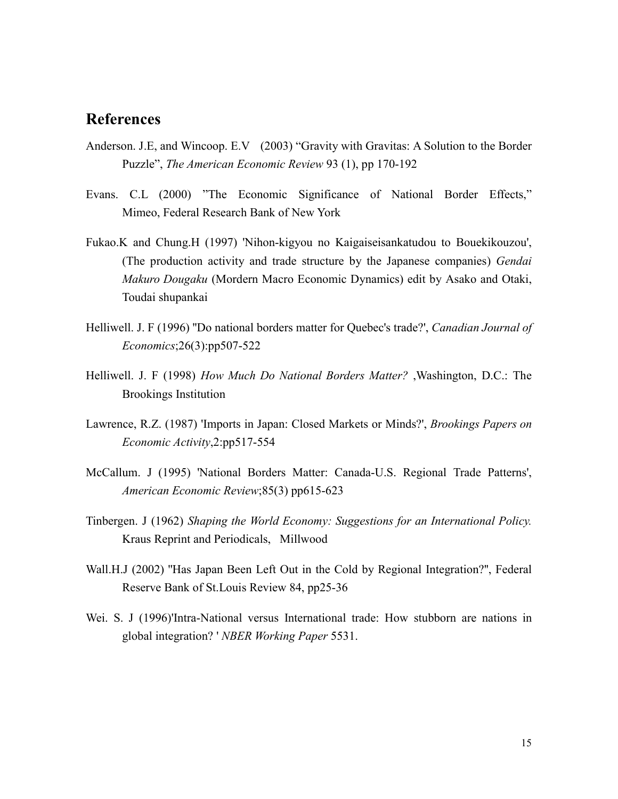## **References**

- Anderson. J.E, and Wincoop. E.V (2003) "Gravity with Gravitas: A Solution to the Border Puzzle", *The American Economic Review* 93 (1), pp 170-192
- Evans. C.L (2000) "The Economic Significance of National Border Effects," Mimeo, Federal Research Bank of New York
- Fukao.K and Chung.H (1997) 'Nihon-kigyou no Kaigaiseisankatudou to Bouekikouzou', (The production activity and trade structure by the Japanese companies) *Gendai Makuro Dougaku* (Mordern Macro Economic Dynamics) edit by Asako and Otaki, Toudai shupankai
- Helliwell. J. F (1996) ''Do national borders matter for Quebec's trade?', *Canadian Journal of Economics*;26(3):pp507-522
- Helliwell. J. F (1998) *How Much Do National Borders Matter?* ,Washington, D.C.: The Brookings Institution
- Lawrence, R.Z. (1987) 'Imports in Japan: Closed Markets or Minds?', *Brookings Papers on Economic Activity*,2:pp517-554
- McCallum. J (1995) 'National Borders Matter: Canada-U.S. Regional Trade Patterns', *American Economic Review*;85(3) pp615-623
- Tinbergen. J (1962) *Shaping the World Economy: Suggestions for an International Policy.* Kraus Reprint and Periodicals, Millwood
- Wall.H.J (2002) ''Has Japan Been Left Out in the Cold by Regional Integration?'', Federal Reserve Bank of St.Louis Review 84, pp25-36
- Wei. S. J (1996)'Intra-National versus International trade: How stubborn are nations in global integration? ' *NBER Working Paper* 5531.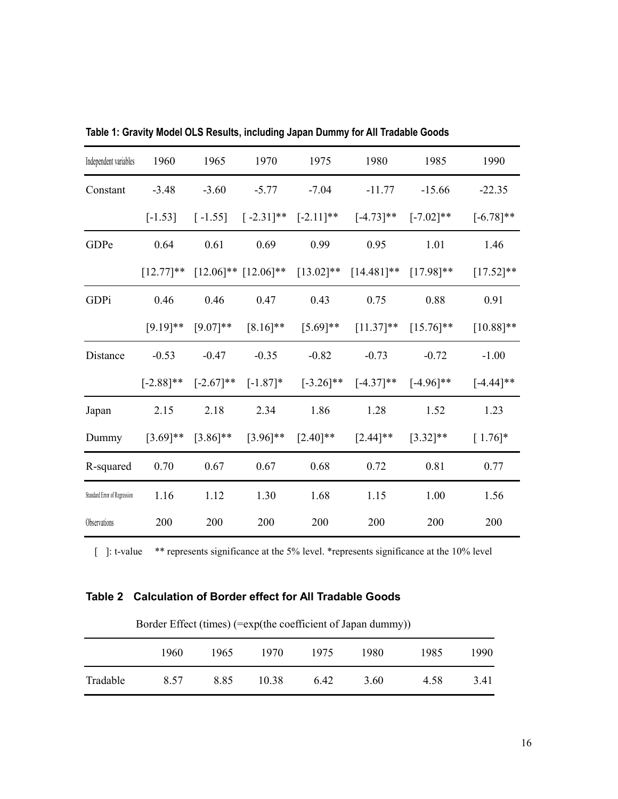| Independent variables        | 1960         | 1965         | 1970                                   | 1975         | 1980          | 1985          | 1990         |
|------------------------------|--------------|--------------|----------------------------------------|--------------|---------------|---------------|--------------|
| Constant                     | $-3.48$      | $-3.60$      | $-5.77$                                | $-7.04$      | $-11.77$      | $-15.66$      | $-22.35$     |
|                              | $[-1.53]$    | $[-1.55]$    | $[-2.31]$ **                           | $[-2.11]$ ** | $[-4.73]$ **  | $[-7.02]**$   | $[-6.78]$ ** |
| GDPe                         | 0.64         | 0.61         | 0.69                                   | 0.99         | 0.95          | 1.01          | 1.46         |
|                              |              |              | $[12.77]$ ** $[12.06]$ ** $[12.06]$ ** | $[13.02]$ ** | $[14.481]$ ** | $[17.98]$ **  | $[17.52]$ ** |
| GDPi                         | 0.46         | 0.46         | 0.47                                   | 0.43         | 0.75          | 0.88          | 0.91         |
|                              | $[9.19]$ **  | $[9.07]**$   | $[8.16]$ **                            | $[5.69]$ **  | $[11.37]$ **  | $[15.76]$ **  | $[10.88]$ ** |
| Distance                     | $-0.53$      | $-0.47$      | $-0.35$                                | $-0.82$      | $-0.73$       | $-0.72$       | $-1.00$      |
|                              | $[-2.88]$ ** | $[-2.67]$ ** | $[-1.87]$ *                            | $[-3.26]$ ** | $[-4.37]$ **  | $[-4.96]$ **  | $[-4.44]$ ** |
| Japan                        | 2.15         | 2.18         | 2.34                                   | 1.86         | 1.28          | 1.52          | 1.23         |
| Dummy                        | $[3.69]$ **  | $[3.86]$ **  | $[3.96]$ **                            | $[2.40]$ **  | $[2.44]$ **   | $[3.32]^{**}$ | $[1.76]$ *   |
| R-squared                    | 0.70         | 0.67         | 0.67                                   | 0.68         | 0.72          | 0.81          | 0.77         |
| Standard Error of Regression | 1.16         | 1.12         | 1.30                                   | 1.68         | 1.15          | 1.00          | 1.56         |
| Observations                 | 200          | 200          | 200                                    | 200          | 200           | 200           | 200          |

**Table 1: Gravity Model OLS Results, including Japan Dummy for All Tradable Goods** 

[ ]: t-value \*\* represents significance at the 5% level. \*represents significance at the 10% level

### **Table 2 Calculation of Border effect for All Tradable Goods**

| Border Effect (times) (=exp(the coefficient of Japan dummy)) |  |  |
|--------------------------------------------------------------|--|--|
|                                                              |  |  |

|          | 1960. | 1965. | 1970  | 1975 | 1980 | 1985 | 1990 |
|----------|-------|-------|-------|------|------|------|------|
| Tradable | 8.57  | 8.85  | 10.38 | 6.42 | 3.60 | 4.58 | 3.41 |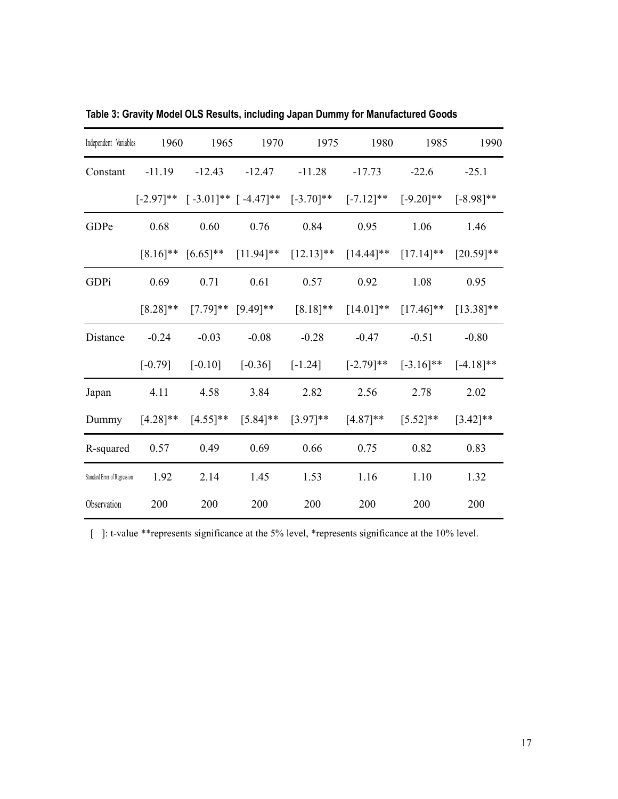| Independent Variables        | 1960        | 1965                    | 1970                                                | 1975                                                                                                   | 1980                                         | 1985         | 1990         |
|------------------------------|-------------|-------------------------|-----------------------------------------------------|--------------------------------------------------------------------------------------------------------|----------------------------------------------|--------------|--------------|
| Constant                     | $-11.19$    | $-12.43$                | $-12.47$                                            | $-11.28$                                                                                               | $-17.73$                                     | $-22.6$      | $-25.1$      |
|                              |             |                         | $[-2.97]$ ** $[-3.01]$ ** $[-4.47]$ ** $[-3.70]$ ** |                                                                                                        | $[-7.12]$ **                                 | $[-9.20]$ ** | $[-8.98]$ ** |
| GDPe                         | 0.68        | 0.60                    | 0.76                                                | 0.84                                                                                                   | 0.95                                         | 1.06         | 1.46         |
|                              |             |                         |                                                     | $[8.16]^{**}$ $[6.65]^{**}$ $[11.94]^{**}$ $[12.13]^{**}$ $[14.44]^{**}$ $[17.14]^{**}$ $[20.59]^{**}$ |                                              |              |              |
| GDPi                         | 0.69        | 0.71                    | 0.61                                                | 0.57                                                                                                   | 0.92                                         | 1.08         | 0.95         |
|                              | $[8.28]$ ** |                         | $[7.79]^{**}$ $[9.49]^{**}$ $[8.18]^{**}$           |                                                                                                        | $[14.01]^{**}$ $[17.46]^{**}$ $[13.38]^{**}$ |              |              |
| Distance                     | $-0.24$     | $-0.03$                 | $-0.08$                                             | $-0.28$                                                                                                | $-0.47$                                      | $-0.51$      | $-0.80$      |
|                              | $[-0.79]$   | $[-0.10]$               | $[-0.36]$                                           | $[-1.24]$                                                                                              | $[-2.79]$ **                                 | $[-3.16]$ ** | $[-4.18]$ ** |
| Japan                        | 4.11        | 4.58                    | 3.84                                                | 2.82                                                                                                   | 2.56                                         | 2.78         | 2.02         |
| Dummy                        |             | $[4.28]$ ** $[4.55]$ ** | $[5.84]^{**}$ $[3.97]^{**}$                         |                                                                                                        | $[4.87]$ **                                  | $[5.52]$ **  | $[3.42]$ **  |
| R-squared                    | 0.57        | 0.49                    | 0.69                                                | 0.66                                                                                                   | 0.75                                         | 0.82         | 0.83         |
| Standard Error of Regression | 1.92        | 2.14                    | 1.45                                                | 1.53                                                                                                   | 1.16                                         | 1.10         | 1.32         |
| Observation                  | 200         | 200                     | 200                                                 | 200                                                                                                    | 200                                          | 200          | 200          |

**Table 3: Gravity Model OLS Results, including Japan Dummy for Manufactured Goods**

[ ]: t-value \*\*represents significance at the 5% level, \*represents significance at the 10% level.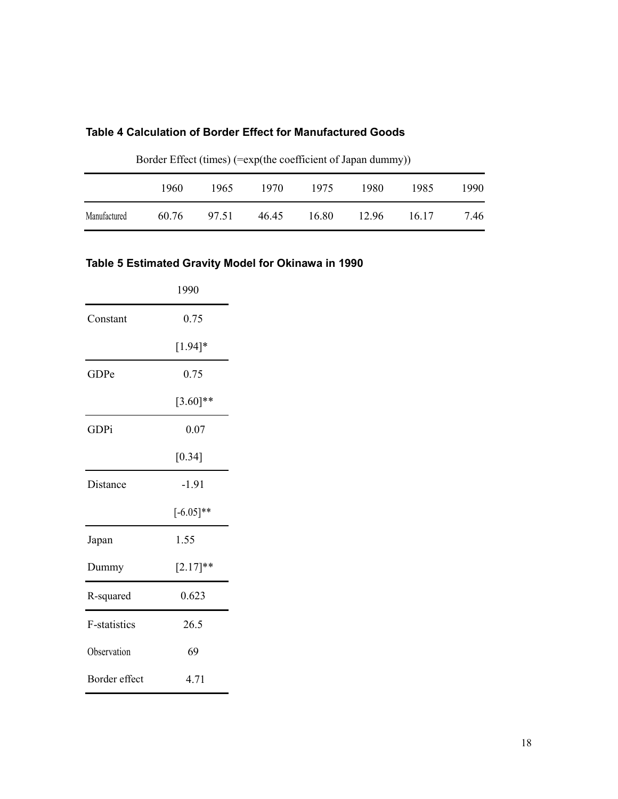### **Table 4 Calculation of Border Effect for Manufactured Goods**

|              | 1960  | 1965  | 1970  | 1975  | 1980  | 1985  | 1990 |
|--------------|-------|-------|-------|-------|-------|-------|------|
| Manufactured | 60.76 | 97.51 | 46.45 | 16.80 | 12.96 | 16.17 | 7.46 |

Border Effect (times) (=exp(the coefficient of Japan dummy))

## **Table 5 Estimated Gravity Model for Okinawa in 1990**

|                     | 1990        |
|---------------------|-------------|
| Constant            | 0.75        |
|                     | $[1.94]*$   |
| GDPe                | 0.75        |
|                     | $[3.60]$ ** |
| GDPi                | 0.07        |
|                     | [0.34]      |
| Distance            | $-1.91$     |
|                     | $[-6.05]**$ |
| Japan               | 1.55        |
| Dummy               | $[2.17]$ ** |
| R-squared           | 0.623       |
| <b>F-statistics</b> | 26.5        |
| Observation         | 69          |
| Border effect       | 4.71        |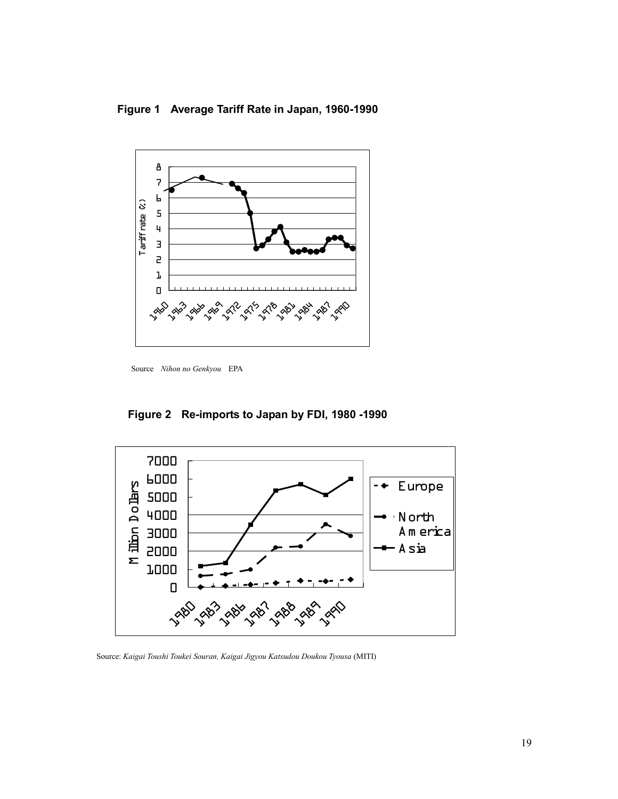**Figure 1 Average Tariff Rate in Japan, 1960-1990** 



Source *Nihon no Genkyou* EPA

**Figure 2 Re-imports to Japan by FDI, 1980 -1990** 



Source: *Kaigai Toushi Toukei Souran, Kaigai Jigyou Katsudou Doukou Tyousa* (MITI)